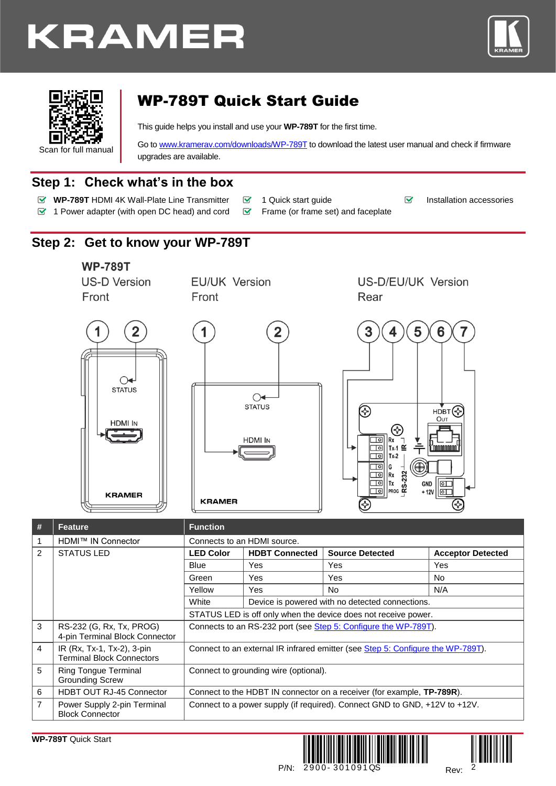# **KRAMER**





## WP-789T Quick Start Guide

This guide helps you install and use your **WP-789T** for the first time.

Go t[o www.kramerav.com/downloads/WP-789T](http://www.kramerav.com/downloads/WP-789T) to download the latest user manual and check if firmware upgrades are available.

## **Step 1: Check what's in the box**

- **WP-789T** HDMI 4K Wall-Plate Line Transmitter  **1 Quick start guide** Installation accessories
	-
- $\blacktriangleright$  1 Power adapter (with open DC head) and cord  $\blacktriangleright$  Frame (or frame set) and faceplate
- 

## **Step 2: Get to know your WP-789T**



 $\Omega$ **STATUS** 

**HDMI IN** 

**KRAMER** 

**EU/UK Version** Front

US-D/EU/UK Version Rear





| #              | <b>Feature</b>                                                 | <b>Function</b>                                                                 |                       |                                                 |                          |
|----------------|----------------------------------------------------------------|---------------------------------------------------------------------------------|-----------------------|-------------------------------------------------|--------------------------|
| 1              | HDMI™ IN Connector                                             | Connects to an HDMI source.                                                     |                       |                                                 |                          |
| 2              | <b>STATUS LED</b>                                              | <b>LED Color</b>                                                                | <b>HDBT Connected</b> | <b>Source Detected</b>                          | <b>Acceptor Detected</b> |
|                |                                                                | Blue                                                                            | <b>Yes</b>            | Yes                                             | Yes                      |
|                |                                                                | Green                                                                           | <b>Yes</b>            | Yes                                             | No.                      |
|                |                                                                | Yellow                                                                          | <b>Yes</b>            | No.                                             | N/A                      |
|                |                                                                | White                                                                           |                       | Device is powered with no detected connections. |                          |
|                |                                                                | STATUS LED is off only when the device does not receive power.                  |                       |                                                 |                          |
| 3              | RS-232 (G, Rx, Tx, PROG)<br>4-pin Terminal Block Connector     | Connects to an RS-232 port (see Step 5: Configure the WP-789T).                 |                       |                                                 |                          |
| $\overline{4}$ | IR (Rx, Tx-1, Tx-2), 3-pin<br><b>Terminal Block Connectors</b> | Connect to an external IR infrared emitter (see Step 5: Configure the WP-789T). |                       |                                                 |                          |
| 5              | Ring Tongue Terminal<br><b>Grounding Screw</b>                 | Connect to grounding wire (optional).                                           |                       |                                                 |                          |
| 6              | HDBT OUT RJ-45 Connector                                       | Connect to the HDBT IN connector on a receiver (for example, <b>TP-789R</b> ).  |                       |                                                 |                          |
| $\overline{7}$ | Power Supply 2-pin Terminal<br><b>Block Connector</b>          | Connect to a power supply (if required). Connect GND to GND, +12V to +12V.      |                       |                                                 |                          |



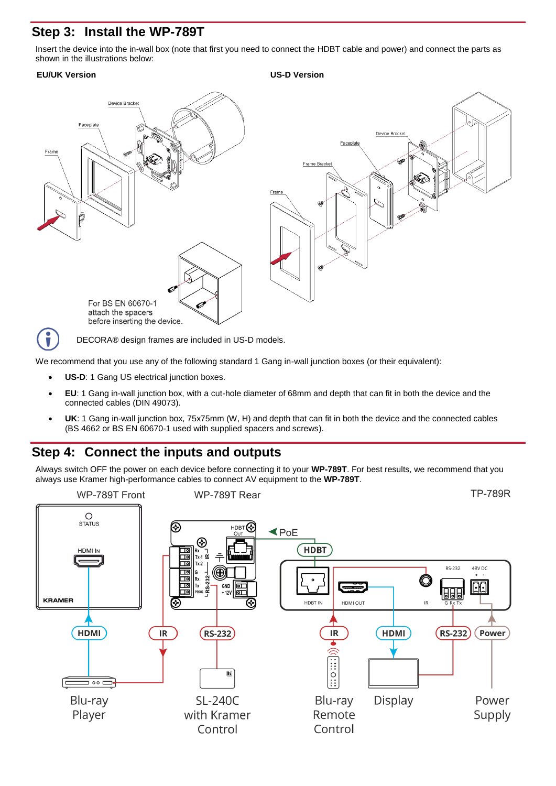## **Step 3: Install the WP-789T**

Insert the device into the in-wall box (note that first you need to connect the HDBT cable and power) and connect the parts as shown in the illustrations below:

### **EU/UK Version US-D Version**



We recommend that you use any of the following standard 1 Gang in-wall junction boxes (or their equivalent):

- **US-D:** 1 Gang US electrical junction boxes.
- **EU**: 1 Gang in-wall junction box, with a cut-hole diameter of 68mm and depth that can fit in both the device and the connected cables (DIN 49073).
- **UK**: 1 Gang in-wall junction box, 75x75mm (W, H) and depth that can fit in both the device and the connected cables (BS 4662 or BS EN 60670-1 used with supplied spacers and screws).

## **Step 4: Connect the inputs and outputs**

Always switch OFF the power on each device before connecting it to your **WP-789T**. For best results, we recommend that you always use Kramer high-performance cables to connect AV equipment to the **WP-789T**.

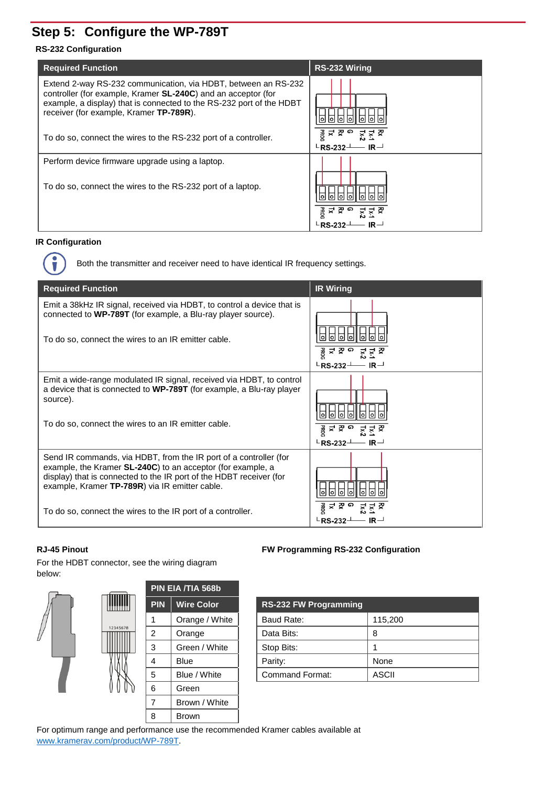## <span id="page-2-0"></span>**Step 5: Configure the WP-789T**

#### **RS-232 Configuration**

| <b>Required Function</b>                                                                                                                                                                                                                                   | <b>RS-232 Wiring</b>                                                  |
|------------------------------------------------------------------------------------------------------------------------------------------------------------------------------------------------------------------------------------------------------------|-----------------------------------------------------------------------|
| Extend 2-way RS-232 communication, via HDBT, between an RS-232<br>controller (for example, Kramer <b>SL-240C</b> ) and an acceptor (for<br>example, a display) that is connected to the RS-232 port of the HDBT<br>receiver (for example, Kramer TP-789R). | lol                                                                   |
| To do so, connect the wires to the RS-232 port of a controller.                                                                                                                                                                                            | ᇙ 국 Ϙ o<br>₹<br>$\mathsf{L}\mathsf{RS}\text{-}232\mathsf{L}$<br>$IR-$ |
| Perform device firmware upgrade using a laptop.                                                                                                                                                                                                            |                                                                       |
| To do so, connect the wires to the RS-232 port of a laptop.                                                                                                                                                                                                | ᇙ i 로 준 o                                                             |

### **IR Configuration**

i

Both the transmitter and receiver need to have identical IR frequency settings.

| <b>Required Function</b>                                                                                                                                                                                                                                          | <b>IR Wiring</b>                                     |
|-------------------------------------------------------------------------------------------------------------------------------------------------------------------------------------------------------------------------------------------------------------------|------------------------------------------------------|
| Emit a 38kHz IR signal, received via HDBT, to control a device that is<br>connected to WP-789T (for example, a Blu-ray player source).<br>To do so, connect the wires to an IR emitter cable.                                                                     | ᇙᅻᅏᆞᇢ<br><u>રૂ ર</u> ક્ષ<br><b>LRS-232-</b><br>$IR-$ |
| Emit a wide-range modulated IR signal, received via HDBT, to control<br>a device that is connected to WP-789T (for example, a Blu-ray player<br>source).<br>To do so, connect the wires to an IR emitter cable.                                                   | ᇙᅻᅏᆞᇢ<br>꽃 쫀<br>Lx.<br>$IR-$<br><b>LRS-232-</b>      |
| Send IR commands, via HDBT, from the IR port of a controller (for<br>example, the Kramer <b>SL-240C</b> ) to an acceptor (for example, a<br>display) that is connected to the IR port of the HDBT receiver (for<br>example, Kramer TP-789R) via IR emitter cable. |                                                      |
| To do so, connect the wires to the IR port of a controller.                                                                                                                                                                                                       | ᇙᅻ 졎 ㅇ<br>$L$ RS-232 $-$<br>$IR-$                    |

For the HDBT connector, see the wiring diagram below:



| <b>PIN</b> | <b>Wire Color</b> | <b>RS-232 FW Programming</b> |         |
|------------|-------------------|------------------------------|---------|
| 1          | Orange / White    | Baud Rate:                   | 115,200 |
| 2          | Orange            | Data Bits:                   | 8       |
| 3          | Green / White     | Stop Bits:                   |         |
| 4          | <b>Blue</b>       | Parity:                      | None    |
| 5          | Blue / White      | <b>Command Format:</b>       | ASCII   |
|            |                   |                              |         |

For optimum range and performance use the recommended Kramer cables available at [www.kramerav.com/product/WP-789T.](http://www.kramerav.com/product/WP-789T)

#### **RJ-45 Pinout FW Programming RS-232 Configuration**